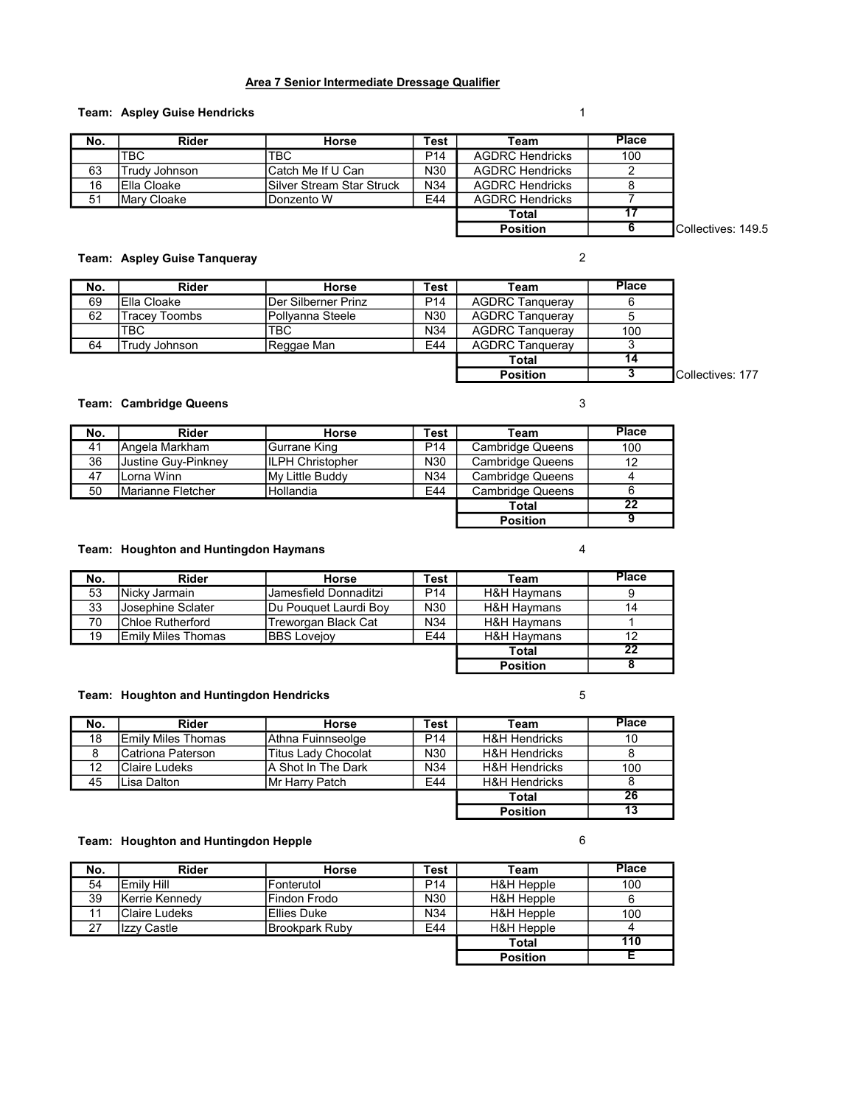#### Area 7 Senior Intermediate Dressage Qualifier

## **Team:** Aspley Guise Hendricks 1

| No. | Rider         | <b>Horse</b>               | <b>Test</b>     | Team                   | Place                      |
|-----|---------------|----------------------------|-----------------|------------------------|----------------------------|
|     | <b>TBC</b>    | <b>TBC</b>                 | P <sub>14</sub> | <b>AGDRC Hendricks</b> | 100                        |
| 63  | Trudv Johnson | Catch Me If U Can          | N <sub>30</sub> | <b>AGDRC Hendricks</b> |                            |
| 16  | IElla Cloake  | lSilver Stream Star Struck | N <sub>34</sub> | <b>AGDRC Hendricks</b> |                            |
| 51  | Mary Cloake   | Donzento W                 | E44             | <b>AGDRC Hendricks</b> |                            |
|     |               |                            |                 | Total                  |                            |
|     |               |                            |                 | <b>Position</b>        | <b>ICollectives: 149.5</b> |

#### Team: Aspley Guise Tanqueray 2

| No. | <b>Rider</b>        | Horse                | Test | Team                   | <b>Place</b> |
|-----|---------------------|----------------------|------|------------------------|--------------|
| 69  | <b>IElla Cloake</b> | IDer Silberner Prinz | P14  | <b>AGDRC Tanqueray</b> |              |
| 62  | Tracey Toombs       | IPollvanna Steele    | N30  | <b>AGDRC Tanqueray</b> |              |
|     | TBC                 | TBC                  | N34  | <b>AGDRC Tangueray</b> | 100          |
| 64  | Trudv Johnson       | Reggae Man           | E44  | <b>AGDRC Tangueray</b> |              |
|     |                     |                      |      | <b>Total</b>           | 14           |
|     |                     |                      |      | <b>Position</b>        |              |

#### Team: Cambridge Queens 3

| No. | <b>Rider</b>        | Horse             | Test            | Team                    | <b>Place</b>    |
|-----|---------------------|-------------------|-----------------|-------------------------|-----------------|
| 41  | Angela Markham      | Gurrane King      | P <sub>14</sub> | Cambridge Queens        | 100             |
| 36  | Justine Guy-Pinkney | IILPH Christopher | N30             | <b>Cambridge Queens</b> | 12              |
| 47  | lLorna Winn         | My Little Buddy   | N34             | <b>Cambridge Queens</b> |                 |
| 50  | Marianne Fletcher   | <b>Hollandia</b>  | E44             | <b>Cambridge Queens</b> | 6               |
|     |                     |                   |                 | Total                   | $\overline{22}$ |
|     |                     |                   |                 | <b>Position</b>         |                 |

#### Team: Houghton and Huntingdon Haymans **Accord 12 and 24** 4

| No. | <b>Rider</b>               | Horse                 | Test            | Team                   | <b>Place</b>    |
|-----|----------------------------|-----------------------|-----------------|------------------------|-----------------|
| 53  | INickv Jarmain             | Jamesfield Donnaditzi | P <sub>14</sub> | <b>H&amp;H Havmans</b> |                 |
| 33  | <b>Josephine Sclater</b>   | Du Pouquet Laurdi Boy | N30             | H&H Haymans            | 14              |
| 70  | Chloe Rutherford           | Treworgan Black Cat   | N34             | <b>H&amp;H Havmans</b> |                 |
| 19  | <b>IEmilv Miles Thomas</b> | <b>BBS Lovejoy</b>    | E44             | <b>H&amp;H Havmans</b> | 12              |
|     |                            |                       |                 | Total                  | $\overline{22}$ |
|     |                            |                       |                 | <b>Position</b>        |                 |

## Team: Houghton and Huntingdon Hendricks **5**

| No. | Rider                     | <b>Horse</b>               | Test            | Team                     | <b>Place</b>    |
|-----|---------------------------|----------------------------|-----------------|--------------------------|-----------------|
| 18  | <b>Emily Miles Thomas</b> | Athna Fuinnseolge          | P <sub>14</sub> | <b>H&amp;H Hendricks</b> | 10              |
|     | Catriona Paterson         | <b>Titus Lady Chocolat</b> | N30             | <b>H&amp;H Hendricks</b> |                 |
| 12  | Claire Ludeks             | A Shot In The Dark         | N <sub>34</sub> | <b>H&amp;H Hendricks</b> | 100             |
| 45  | ILisa Dalton              | IMr Harrv Patch            | E44             | <b>H&amp;H Hendricks</b> |                 |
|     |                           |                            |                 | Total                    | 26              |
|     |                           |                            |                 | <b>Position</b>          | $\overline{13}$ |

## Team: Houghton and Huntingdon Hepple 6 and 5 and 5 and 6 6

| No. | <b>Rider</b>           | <b>Horse</b>          | Test            | Team                  | <b>Place</b> |
|-----|------------------------|-----------------------|-----------------|-----------------------|--------------|
| 54  | lEmilv Hill            | Fonterutol            | P <sub>14</sub> | <b>H&amp;H Hepple</b> | 100          |
| 39  | <b>IKerrie Kennedv</b> | Findon Frodo          | N30             | H&H Hepple            | 6            |
|     | lClaire Ludeks         | Ellies Duke           | N34             | <b>H&amp;H Hepple</b> | 100          |
| 27  | Ilzzv Castle           | <b>Brookpark Ruby</b> | E44             | <b>H&amp;H Hepple</b> | 4            |
|     |                        |                       |                 | Total                 | 110          |
|     |                        |                       |                 | <b>Position</b>       | Е            |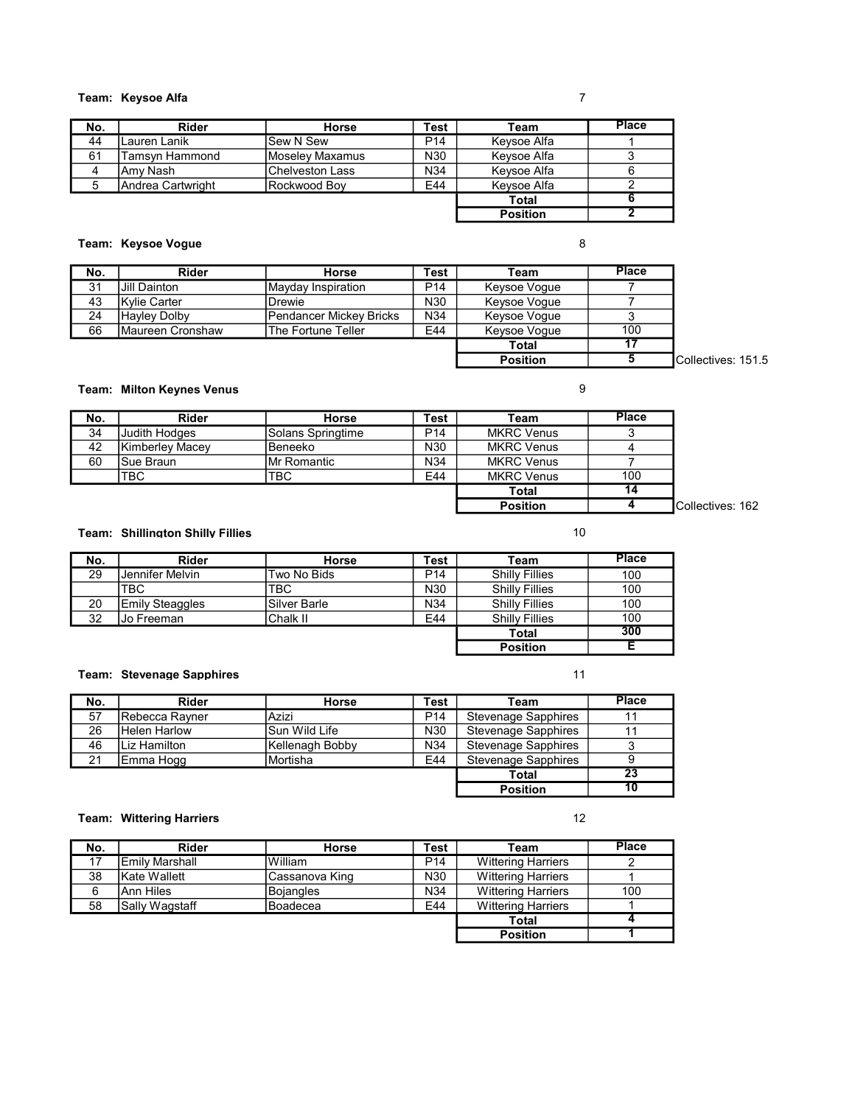## Team: Keysoe Alfa 7

| No. | <b>Rider</b>      | <b>Horse</b>    | Test            | Team            | <b>Place</b> |
|-----|-------------------|-----------------|-----------------|-----------------|--------------|
| 44  | Lauren Lanik      | Sew N Sew       | P <sub>14</sub> | Kevsoe Alfa     |              |
| 61  | Tamsyn Hammond    | Moselev Maxamus | N30             | Kevsoe Alfa     |              |
| 4   | lAmv Nash         | Chelveston Lass | N34             | Keysoe Alfa     |              |
|     | Andrea Cartwright | IRockwood Bov   | E44             | Kevsoe Alfa     |              |
|     |                   |                 |                 | Total           |              |
|     |                   |                 |                 | <b>Position</b> |              |

## Team: Keysoe Vogue 8

| No. | <b>Rider</b>             | <b>Horse</b>            | <b>Test</b>     | Team            | <b>Place</b> |
|-----|--------------------------|-------------------------|-----------------|-----------------|--------------|
| 31  | IJill Dainton            | Mavdav Inspiration      | P <sub>14</sub> | Keysoe Voque    |              |
| 43  | Kylie Carter             | Drewie                  | N <sub>30</sub> | Keysoe Voque    |              |
| 24  | <b>Havley Dolby</b>      | Pendancer Mickey Bricks | N <sub>34</sub> | Keysoe Voque    |              |
| 66  | <b>IMaureen Cronshaw</b> | The Fortune Teller      | E44             | Keysoe Voque    | 100          |
|     |                          |                         |                 | <b>Total</b>    |              |
|     |                          |                         |                 | <b>Position</b> |              |

#### Team: Milton Keynes Venus **9**

| No. | <b>Rider</b>    | Horse             | Test            | Team              | <b>Place</b> |
|-----|-----------------|-------------------|-----------------|-------------------|--------------|
| 34  | Uudith Hodges   | Solans Springtime | P <sub>14</sub> | <b>MKRC Venus</b> |              |
| 42  | Kimberlev Macev | Beneeko           | N30             | <b>MKRC Venus</b> |              |
| 60  | ISue Braun      | IMr Romantic      | N34             | <b>MKRC Venus</b> |              |
|     | <b>TBC</b>      | <b>TBC</b>        | E44             | <b>MKRC Venus</b> | 100          |
|     |                 |                   |                 | <b>Total</b>      |              |
|     |                 |                   |                 | <b>Position</b>   |              |

### Team: Shillington Shilly Fillies 10 and 10 and 10 and 10 and 10 and 10 and 10 and 10 and 10 and 10 and 10 and 10 and 10 and 10 and 10 and 10 and 10 and 10 and 10 and 10 and 10 and 10 and 10 and 10 and 10 and 10 and 10 and

| No. | Rider                  | <b>Horse</b> | Test            | Team                  | <b>Place</b> |
|-----|------------------------|--------------|-----------------|-----------------------|--------------|
| 29  | Jennifer Melvin        | Two No Bids  | P <sub>14</sub> | <b>Shilly Fillies</b> | 100          |
|     | TBC.                   | TBC          | N30             | <b>Shilly Fillies</b> | 100          |
| 20  | <b>Emily Steaggles</b> | Silver Barle | N <sub>34</sub> | <b>Shilly Fillies</b> | 100          |
| 32  | Jo Freeman             | Chalk II     | E44             | <b>Shilly Fillies</b> | 100          |
|     |                        |              |                 | Total                 | 300          |
|     |                        |              |                 | <b>Position</b>       |              |

#### Team: Stevenage Sapphires 11

| No. | Rider               | <b>Horse</b>    | Test            | Team                       | <b>Place</b> |
|-----|---------------------|-----------------|-----------------|----------------------------|--------------|
| 57  | IRebecca Ravner     | Azizi           | P <sub>14</sub> | <b>Stevenage Sapphires</b> |              |
| 26  | <b>Helen Harlow</b> | lSun Wild Life  | N30             | <b>Stevenage Sapphires</b> |              |
| 46  | Liz Hamilton        | Kellenagh Bobby | N34             | <b>Stevenage Sapphires</b> |              |
| 21  | Emma Hogg           | Mortisha        | E44             | Stevenage Sapphires        | 9            |
|     |                     |                 |                 | Total                      | 23           |
|     |                     |                 |                 | <b>Position</b>            | 10           |

## Team: Wittering Harriers 12

| No. | <b>Rider</b>          | Horse            | Test            | Team                      | <b>Place</b> |
|-----|-----------------------|------------------|-----------------|---------------------------|--------------|
|     | <b>Emily Marshall</b> | lWilliam         | P <sub>14</sub> | <b>Wittering Harriers</b> |              |
| 38  | Kate Wallett          | ICassanova King  | N30             | <b>Wittering Harriers</b> |              |
| 6   | lAnn Hiles            | <b>Bojangles</b> | N34             | <b>Wittering Harriers</b> | 100          |
| 58  | Sally Wagstaff        | Boadecea         | E44             | <b>Wittering Harriers</b> |              |
|     |                       |                  |                 | Total                     |              |
|     |                       |                  |                 | <b>Position</b>           |              |